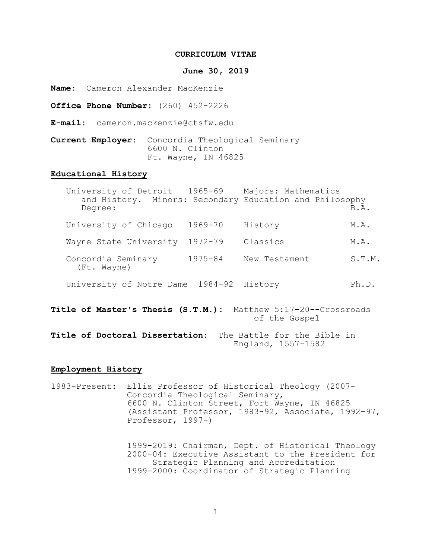#### **CURRICULUM VITAE**

#### **June 30, 2019**

**Name:** Cameron Alexander MacKenzie

**Office Phone Number:** (260) 452-2226

**E-mail:** cameron.mackenzie@ctsfw.edu

**Current Employer:** Concordia Theological Seminary Ft. Wayne, IN 46825

# **Educational History**

|                                                                                    | University of Detroit 1965-69<br>Degree: |             | Majors: Mathematics<br>and History. Minors: Secondary Education and Philosophy | B.A.   |
|------------------------------------------------------------------------------------|------------------------------------------|-------------|--------------------------------------------------------------------------------|--------|
|                                                                                    | University of Chicago                    | 1969-70     | History                                                                        | M.A.   |
|                                                                                    | Wayne State University                   | 1972-79     | Classics                                                                       | M.A.   |
|                                                                                    | Concordia Seminary<br>(Ft. Wayne)        | $1975 - 84$ | New Testament                                                                  | S.T.M. |
|                                                                                    | University of Notre Dame 1984-92         |             | History                                                                        | Ph.D.  |
| Matthew 5:17-20--Crossroads<br>Title of Master's Thesis (S.T.M.):<br>of the Gospel |                                          |             |                                                                                |        |

**Title of Doctoral Dissertation:** The Battle for the Bible in England, 1557-1582

### **Employment History**

1983-Present: Ellis Professor of Historical Theology (2007- Concordia Theological Seminary, 6600 N. Clinton Street, Fort Wayne, IN 46825 (Assistant Professor, 1983-92, Associate, 1992-97, Professor, 1997-)

> 1999-2019: Chairman, Dept. of Historical Theology 2000-04: Executive Assistant to the President for Strategic Planning and Accreditation 1999-2000: Coordinator of Strategic Planning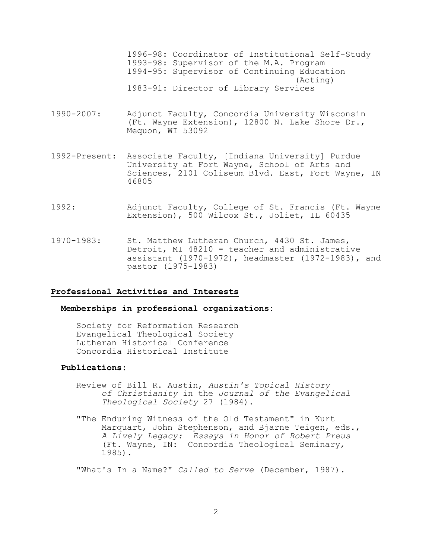1996-98: Coordinator of Institutional Self-Study 1993-98: Supervisor of the M.A. Program 1994-95: Supervisor of Continuing Education (Acting) 1983-91: Director of Library Services

- 1990-2007: Adjunct Faculty, Concordia University Wisconsin (Ft. Wayne Extension), 12800 N. Lake Shore Dr., Mequon, WI 53092
- 1992-Present: Associate Faculty, [Indiana University] Purdue University at Fort Wayne, School of Arts and Sciences, 2101 Coliseum Blvd. East, Fort Wayne, IN 46805
- 1992: Adjunct Faculty, College of St. Francis (Ft. Wayne Extension), 500 Wilcox St., Joliet, IL 60435
- 1970-1983: St. Matthew Lutheran Church, 4430 St. James, Detroit, MI 48210 **-** teacher and administrative assistant (1970-1972), headmaster (1972-1983), and pastor (1975-1983)

#### **Professional Activities and Interests**

# **Memberships in professional organizations:**

Society for Reformation Research Evangelical Theological Society Lutheran Historical Conference Concordia Historical Institute

### **Publications:**

- Review of Bill R. Austin, *Austin's Topical History of Christianity* in the *Journal of the Evangelical Theological Society* 27 (1984).
- "The Enduring Witness of the Old Testament" in Kurt Marquart, John Stephenson, and Bjarne Teigen, eds., *A Lively Legacy: Essays in Honor of Robert Preus* (Ft. Wayne, IN: Concordia Theological Seminary, 1985).

"What's In a Name?" *Called to Serve* (December, 1987).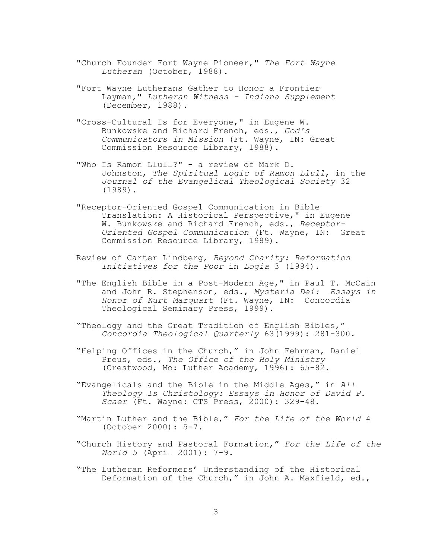- "Church Founder Fort Wayne Pioneer," *The Fort Wayne Lutheran* (October, 1988).
- "Fort Wayne Lutherans Gather to Honor a Frontier Layman," *Lutheran Witness - Indiana Supplement* (December, 1988).
- "Cross-Cultural Is for Everyone," in Eugene W. Bunkowske and Richard French, eds., *God's Communicators in Mission* (Ft. Wayne, IN: Great Commission Resource Library, 1988).
- "Who Is Ramon Llull?" a review of Mark D. Johnston, *The Spiritual Logic of Ramon Llull*, in the *Journal of the Evangelical Theological Society* 32 (1989).
- "Receptor-Oriented Gospel Communication in Bible Translation: A Historical Perspective," in Eugene W. Bunkowske and Richard French, eds., *Receptor-Oriented Gospel Communication* (Ft. Wayne, IN: Great Commission Resource Library, 1989).
- Review of Carter Lindberg, *Beyond Charity: Reformation Initiatives for the Poor* in *Logia* 3 (1994).
- "The English Bible in a Post-Modern Age," in Paul T. McCain and John R. Stephenson, eds., *Mysteria Dei: Essays in Honor of Kurt Marquart* (Ft. Wayne, IN: Concordia Theological Seminary Press, 1999).
- "Theology and the Great Tradition of English Bibles," *Concordia Theological Quarterly* 63(1999): 281-300.
- "Helping Offices in the Church," in John Fehrman, Daniel Preus, eds., *The Office of the Holy Ministry* (Crestwood, Mo: Luther Academy, 1996): 65-82.
- "Evangelicals and the Bible in the Middle Ages," in *All Theology Is Christology: Essays in Honor of David P. Scaer* (Ft. Wayne: CTS Press, 2000): 329-48.
- "Martin Luther and the Bible," *For the Life of the World* 4 (October 2000): 5-7.
- "Church History and Pastoral Formation," *For the Life of the World 5* (April 2001): 7-9.
- "The Lutheran Reformers' Understanding of the Historical Deformation of the Church," in John A. Maxfield, ed.,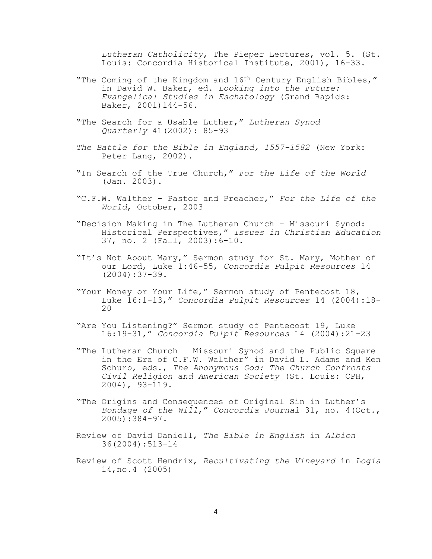*Lutheran Catholicity*, The Pieper Lectures, vol. 5. (St. Louis: Concordia Historical Institute, 2001), 16-33.

- "The Coming of the Kingdom and 16<sup>th</sup> Century English Bibles," in David W. Baker, ed. *Looking into the Future: Evangelical Studies in Eschatology* (Grand Rapids: Baker, 2001)144-56.
- "The Search for a Usable Luther," *Lutheran Synod Quarterly* 41(2002): 85-93
- *The Battle for the Bible in England, 1557-1582* (New York: Peter Lang, 2002).
- "In Search of the True Church," *For the Life of the World* (Jan. 2003).
- "C.F.W. Walther Pastor and Preacher," *For the Life of the World*, October, 2003
- "Decision Making in The Lutheran Church Missouri Synod: Historical Perspectives," *Issues in Christian Education* 37, no. 2 (Fall, 2003):6-10.
- "It's Not About Mary," Sermon study for St. Mary, Mother of our Lord, Luke 1:46-55, *Concordia Pulpit Resources* 14 (2004):37-39.
- "Your Money or Your Life," Sermon study of Pentecost 18, Luke 16:1-13," *Concordia Pulpit Resources* 14 (2004):18- <sup>20</sup>
- "Are You Listening?" Sermon study of Pentecost 19, Luke 16:19-31," *Concordia Pulpit Resources* 14 (2004):21-23
- "The Lutheran Church Missouri Synod and the Public Square in the Era of C.F.W. Walther" in David L. Adams and Ken Schurb, eds., *The Anonymous God: The Church Confronts Civil Religion and American Society* (St. Louis: CPH, 2004), 93-119.
- "The Origins and Consequences of Original Sin in Luther's *Bondage of the Will*," *Concordia Journal* 31, no. 4(Oct., 2005):384-97.
- Review of David Daniell, *The Bible in English* in *Albion* 36(2004):513-14
- Review of Scott Hendrix, *Recultivating the Vineyard* in *Logia* 14,no.4 (2005)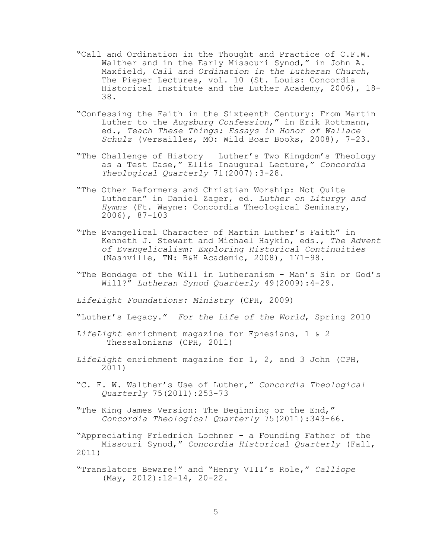- "Call and Ordination in the Thought and Practice of C.F.W. Walther and in the Early Missouri Synod," in John A. Maxfield, *Call and Ordination in the Lutheran Church*, The Pieper Lectures, vol. 10 (St. Louis: Concordia Historical Institute and the Luther Academy, 2006), 18- 38.
- "Confessing the Faith in the Sixteenth Century: From Martin Luther to the *Augsburg Confession*," in Erik Rottmann, ed., *Teach These Things: Essays in Honor of Wallace Schulz* (Versailles, MO: Wild Boar Books, 2008), 7-23.
- "The Challenge of History Luther's Two Kingdom's Theology as a Test Case," Ellis Inaugural Lecture," *Concordia Theological Quarterly* 71(2007):3-28.
- "The Other Reformers and Christian Worship: Not Quite Lutheran" in Daniel Zager, ed. *Luther on Liturgy and Hymns* (Ft. Wayne: Concordia Theological Seminary, 2006), 87-103
- "The Evangelical Character of Martin Luther's Faith" in Kenneth J. Stewart and Michael Haykin, eds., *The Advent of Evangelicalism: Exploring Historical Continuities* (Nashville, TN: B&H Academic, 2008), 171-98.
- "The Bondage of the Will in Lutheranism Man's Sin or God's Will?" *Lutheran Synod Quarterly* 49(2009):4-29.
- *LifeLight Foundations: Ministry* (CPH, 2009)
- "Luther's Legacy." *For the Life of the World*, Spring 2010
- *LifeLight* enrichment magazine for Ephesians, 1 & 2 Thessalonians (CPH, 2011)
- *LifeLight* enrichment magazine for 1, 2, and 3 John (CPH, 2011)
- "C. F. W. Walther's Use of Luther," *Concordia Theological Quarterly* 75(2011):253-73
- "The King James Version: The Beginning or the End," *Concordia Theological Quarterly* 75(2011):343-66.

"Appreciating Friedrich Lochner - a Founding Father of the Missouri Synod," *Concordia Historical Quarterly* (Fall, 2011)

"Translators Beware!" and "Henry VIII's Role," *Calliope* (May, 2012):12-14, 20-22.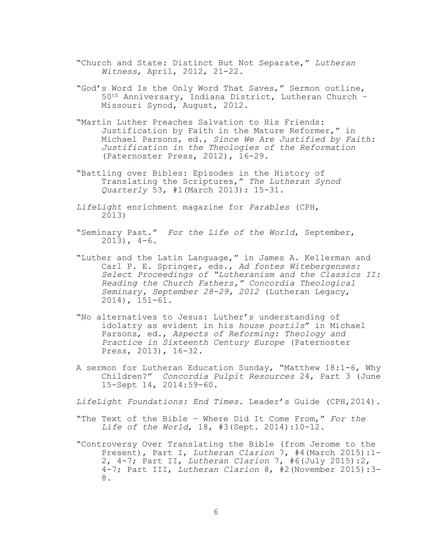- "Church and State: Distinct But Not Separate," *Lutheran Witness*, April, 2012, 21-22.
- "God's Word Is the Only Word That Saves," Sermon outline, 50th Anniversary, Indiana District, Lutheran Church – Missouri Synod, August, 2012.
- "Martin Luther Preaches Salvation to His Friends: Justification by Faith in the Mature Reformer," in Michael Parsons, ed., *Since We Are Justified by Faith: Justification in the Theologies of the Reformation* (Paternoster Press, 2012), 16-29.
- "Battling over Bibles: Episodes in the History of Translating the Scriptures," *The Lutheran Synod Quarterly* 53, #1(March 2013): 15-31.
- *LifeLight* enrichment magazine for *Parables* (CPH, 2013)
- "Seminary Past." *For the Life of the World*, September,  $2013$ ,  $4-6$ .
- "Luther and the Latin Language," in James A. Kellerman and Carl P. E. Springer, eds., *Ad fontes Witebergenses: Select Proceedings of "Lutheranism and the Classics II: Reading the Church Fathers," Concordia Theological Seminary, September 28-29, 2012* (Lutheran Legacy, 2014), 151-61.
- "No alternatives to Jesus: Luther's understanding of idolatry as evident in his *house postils*" in Michael Parsons, ed., *Aspects of Reforming: Theology and Practice in Sixteenth Century Europe* (Paternoster Press, 2013), 16-32.
- A sermon for Lutheran Education Sunday, "Matthew 18:1-6, Why Children?" *Concordia Pulpit Resources* 24, Part 3 (June 15-Sept 14, 2014:59-60.
- *LifeLight Foundations: End Times*. Leader's Guide (CPH,2014).
- "The Text of the Bible Where Did It Come From," *For the Life of the World*, 18, #3(Sept. 2014):10-12.
- "Controversy Over Translating the Bible (from Jerome to the Present), Part I, *Lutheran Clarion* 7, #4(March 2015):1- 2, 4-7; Part II, *Lutheran Clarion* 7, #6(July 2015):2, 4-7; Part III, *Lutheran Clarion* 8, #2(November 2015):3- 8.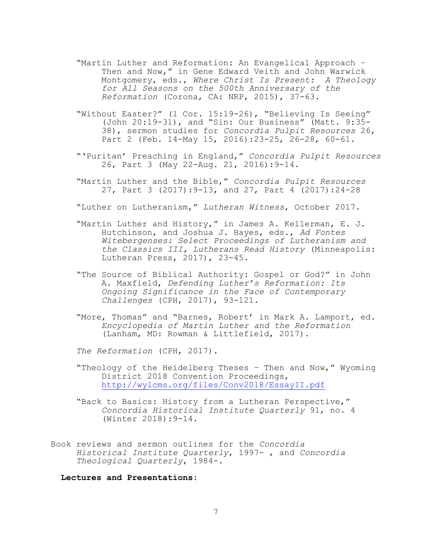- "Martin Luther and Reformation: An Evangelical Approach Then and Now," in Gene Edward Veith and John Warwick Montgomery, eds., *Where Christ Is Present: A Theology for All Seasons on the 500th Anniversary of the Reformation* (Corona, CA: NRP, 2015), 37-63.
- "Without Easter?" (1 Cor. 15:19-26), "Believing Is Seeing" (John 20:19-31), and "Sin: Our Business" (Matt. 9:35- 38), sermon studies for *Concordia Pulpit Resources* 26, Part 2 (Feb. 14-May 15, 2016):23-25, 26-28, 60-61.
- "'Puritan' Preaching in England," *Concordia Pulpit Resources* 26, Part 3 (May 22-Aug. 21, 2016):9-14.
- "Martin Luther and the Bible," *Concordia Pulpit Resources* 27, Part 3 (2017):9-13, and 27, Part 4 (2017):24-28

"Luther on Lutheranism," *Lutheran Witness*, October 2017.

- "Martin Luther and History," in James A. Kellerman, E. J. Hutchinson, and Joshua J. Hayes, eds., *Ad Fontes Witebergenses: Select Proceedings of Lutheranism and the Classics III, Lutherans Read History* (Minneapolis: Lutheran Press, 2017), 23-45.
- "The Source of Biblical Authority: Gospel or God?" in John A. Maxfield, *Defending Luther's Reformation: Its Ongoing Significance in the Face of Contemporary Challenges* (CPH, 2017), 93-121.
- "More, Thomas" and "Barnes, Robert' in Mark A. Lamport, ed. *Encyclopedia of Martin Luther and the Reformation* (Lanham, MD: Rowman & Littlefield, 2017).

*The Reformation* (CPH, 2017).

- "Theology of the Heidelberg Theses Then and Now," Wyoming District 2018 Convention Proceedings, <http://wylcms.org/files/Conv2018/EssayII.pdf>
- "Back to Basics: History from a Lutheran Perspective," *Concordia Historical Institute Quarterly* 91, no. 4 (Winter 2018):9-14.
- Book reviews and sermon outlines for the *Concordia Historical Institute Quarterly*, 1997- , and *Concordia Theological Quarterly*, 1984-.

**Lectures and Presentations:**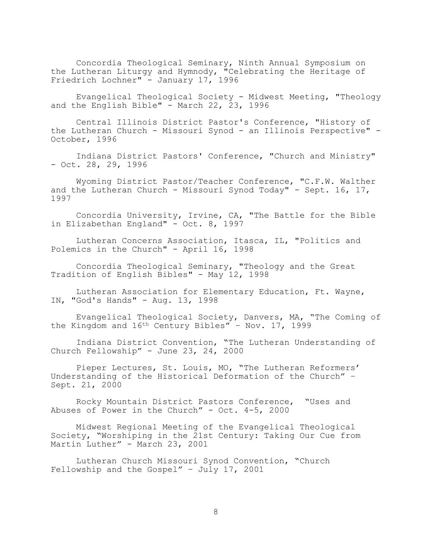Concordia Theological Seminary, Ninth Annual Symposium on the Lutheran Liturgy and Hymnody, "Celebrating the Heritage of Friedrich Lochner" - January 17, 1996

Evangelical Theological Society - Midwest Meeting, "Theology and the English Bible" - March 22, 23, 1996

Central Illinois District Pastor's Conference, "History of the Lutheran Church - Missouri Synod - an Illinois Perspective" - October, 1996

Indiana District Pastors' Conference, "Church and Ministry" - Oct. 28, 29, 1996

Wyoming District Pastor/Teacher Conference, "C.F.W. Walther and the Lutheran Church - Missouri Synod Today" - Sept. 16, 17, 1997

Concordia University, Irvine, CA, "The Battle for the Bible in Elizabethan England" - Oct. 8, 1997

Lutheran Concerns Association, Itasca, IL, "Politics and Polemics in the Church" - April 16, 1998

Concordia Theological Seminary, "Theology and the Great Tradition of English Bibles" - May 12, 1998

Lutheran Association for Elementary Education, Ft. Wayne, IN, "God's Hands" - Aug. 13, 1998

Evangelical Theological Society, Danvers, MA, "The Coming of the Kingdom and 16<sup>th</sup> Century Bibles" - Nov. 17, 1999

Indiana District Convention, "The Lutheran Understanding of Church Fellowship" - June 23, 24, 2000

Pieper Lectures, St. Louis, MO, "The Lutheran Reformers' Understanding of the Historical Deformation of the Church" – Sept. 21, 2000

Rocky Mountain District Pastors Conference, "Uses and Abuses of Power in the Church" - Oct. 4-5, 2000

Midwest Regional Meeting of the Evangelical Theological Society, "Worshiping in the 21st Century: Taking Our Cue from Martin Luther" - March 23, 2001

Lutheran Church Missouri Synod Convention, "Church Fellowship and the Gospel" – July 17, 2001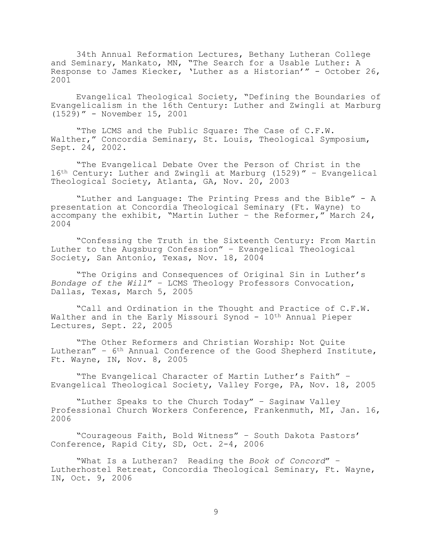34th Annual Reformation Lectures, Bethany Lutheran College and Seminary, Mankato, MN, "The Search for a Usable Luther: A Response to James Kiecker, 'Luther as a Historian'" - October 26, 2001

Evangelical Theological Society, "Defining the Boundaries of Evangelicalism in the 16th Century: Luther and Zwingli at Marburg (1529)" - November 15, 2001

"The LCMS and the Public Square: The Case of C.F.W. Walther," Concordia Seminary, St. Louis, Theological Symposium, Sept. 24, 2002.

"The Evangelical Debate Over the Person of Christ in the 16th Century: Luther and Zwingli at Marburg (1529)" – Evangelical Theological Society, Atlanta, GA, Nov. 20, 2003

"Luther and Language: The Printing Press and the Bible" - A presentation at Concordia Theological Seminary (Ft. Wayne) to accompany the exhibit, "Martin Luther – the Reformer," March 24, 2004

"Confessing the Truth in the Sixteenth Century: From Martin Luther to the Augsburg Confession" – Evangelical Theological Society, San Antonio, Texas, Nov. 18, 2004

"The Origins and Consequences of Original Sin in Luther's *Bondage of the Will*" – LCMS Theology Professors Convocation, Dallas, Texas, March 5, 2005

"Call and Ordination in the Thought and Practice of C.F.W. Walther and in the Early Missouri Synod - 10<sup>th</sup> Annual Pieper Lectures, Sept. 22, 2005

"The Other Reformers and Christian Worship: Not Quite Lutheran" – 6th Annual Conference of the Good Shepherd Institute, Ft. Wayne, IN, Nov. 8, 2005

"The Evangelical Character of Martin Luther's Faith" – Evangelical Theological Society, Valley Forge, PA, Nov. 18, 2005

"Luther Speaks to the Church Today" – Saginaw Valley Professional Church Workers Conference, Frankenmuth, MI, Jan. 16, 2006

"Courageous Faith, Bold Witness" – South Dakota Pastors' Conference, Rapid City, SD, Oct. 2-4, 2006

"What Is a Lutheran? Reading the *Book of Concord*" – Lutherhostel Retreat, Concordia Theological Seminary, Ft. Wayne, IN, Oct. 9, 2006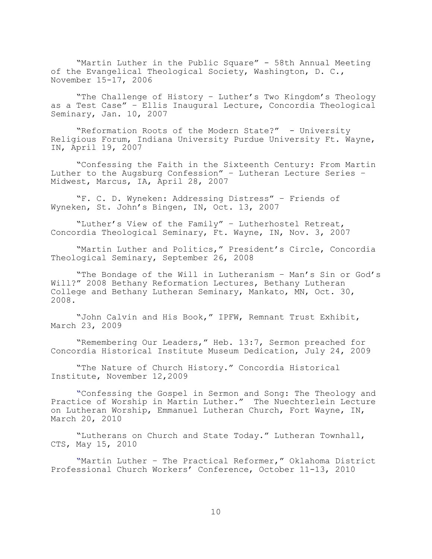"Martin Luther in the Public Square" - 58th Annual Meeting of the Evangelical Theological Society, Washington, D. C., November 15-17, 2006

"The Challenge of History – Luther's Two Kingdom's Theology as a Test Case" – Ellis Inaugural Lecture, Concordia Theological Seminary, Jan. 10, 2007

"Reformation Roots of the Modern State?" - University Religious Forum, Indiana University Purdue University Ft. Wayne, IN, April 19, 2007

"Confessing the Faith in the Sixteenth Century: From Martin Luther to the Augsburg Confession" – Lutheran Lecture Series – Midwest, Marcus, IA, April 28, 2007

"F. C. D. Wyneken: Addressing Distress" – Friends of Wyneken, St. John's Bingen, IN, Oct. 13, 2007

"Luther's View of the Family" – Lutherhostel Retreat, Concordia Theological Seminary, Ft. Wayne, IN, Nov. 3, 2007

"Martin Luther and Politics," President's Circle, Concordia Theological Seminary, September 26, 2008

"The Bondage of the Will in Lutheranism – Man's Sin or God's Will?" 2008 Bethany Reformation Lectures, Bethany Lutheran College and Bethany Lutheran Seminary, Mankato, MN, Oct. 30, 2008.

"John Calvin and His Book," IPFW, Remnant Trust Exhibit, March 23, 2009

"Remembering Our Leaders," Heb. 13:7, Sermon preached for Concordia Historical Institute Museum Dedication, July 24, 2009

"The Nature of Church History." Concordia Historical Institute, November 12,2009

"Confessing the Gospel in Sermon and Song: The Theology and Practice of Worship in Martin Luther." The Nuechterlein Lecture on Lutheran Worship, Emmanuel Lutheran Church, Fort Wayne, IN, March 20, 2010

"Lutherans on Church and State Today." Lutheran Townhall, CTS, May 15, 2010

"Martin Luther – The Practical Reformer," Oklahoma District Professional Church Workers' Conference, October 11-13, 2010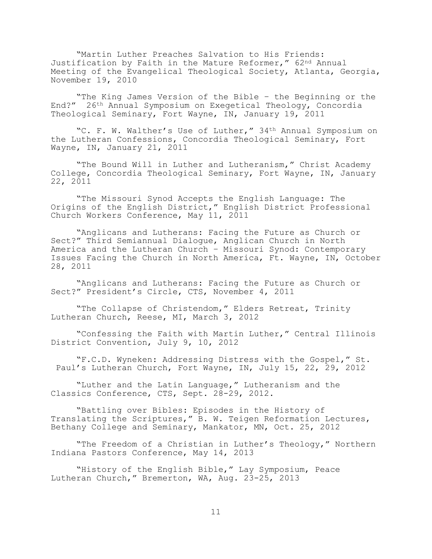"Martin Luther Preaches Salvation to His Friends: Justification by Faith in the Mature Reformer," 62nd Annual Meeting of the Evangelical Theological Society, Atlanta, Georgia, November 19, 2010

"The King James Version of the Bible – the Beginning or the End?" 26th Annual Symposium on Exegetical Theology, Concordia Theological Seminary, Fort Wayne, IN, January 19, 2011

"C. F. W. Walther's Use of Luther," 34th Annual Symposium on the Lutheran Confessions, Concordia Theological Seminary, Fort Wayne, IN, January 21, 2011

"The Bound Will in Luther and Lutheranism," Christ Academy College, Concordia Theological Seminary, Fort Wayne, IN, January 22, 2011

"The Missouri Synod Accepts the English Language: The Origins of the English District," English District Professional Church Workers Conference, May 11, 2011

"Anglicans and Lutherans: Facing the Future as Church or Sect?" Third Semiannual Dialogue, Anglican Church in North America and the Lutheran Church – Missouri Synod: Contemporary Issues Facing the Church in North America, Ft. Wayne, IN, October 28, 2011

"Anglicans and Lutherans: Facing the Future as Church or Sect?" President's Circle, CTS, November 4, 2011

"The Collapse of Christendom," Elders Retreat, Trinity Lutheran Church, Reese, MI, March 3, 2012

"Confessing the Faith with Martin Luther," Central Illinois District Convention, July 9, 10, 2012

"F.C.D. Wyneken: Addressing Distress with the Gospel," St. Paul's Lutheran Church, Fort Wayne, IN, July 15, 22, 29, 2012

"Luther and the Latin Language," Lutheranism and the Classics Conference, CTS, Sept. 28-29, 2012.

"Battling over Bibles: Episodes in the History of Translating the Scriptures," B. W. Teigen Reformation Lectures, Bethany College and Seminary, Mankator, MN, Oct. 25, 2012

"The Freedom of a Christian in Luther's Theology," Northern Indiana Pastors Conference, May 14, 2013

"History of the English Bible," Lay Symposium, Peace Lutheran Church," Bremerton, WA, Aug. 23-25, 2013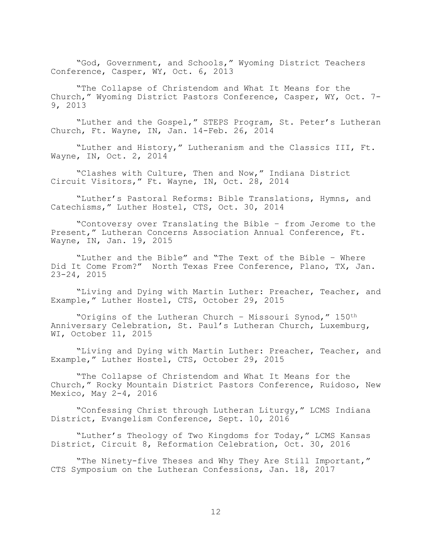"God, Government, and Schools," Wyoming District Teachers Conference, Casper, WY, Oct. 6, 2013

"The Collapse of Christendom and What It Means for the Church," Wyoming District Pastors Conference, Casper, WY, Oct. 7- 9, 2013

"Luther and the Gospel," STEPS Program, St. Peter's Lutheran Church, Ft. Wayne, IN, Jan. 14-Feb. 26, 2014

"Luther and History," Lutheranism and the Classics III, Ft. Wayne, IN, Oct. 2, 2014

"Clashes with Culture, Then and Now," Indiana District Circuit Visitors," Ft. Wayne, IN, Oct. 28, 2014

"Luther's Pastoral Reforms: Bible Translations, Hymns, and Catechisms," Luther Hostel, CTS, Oct. 30, 2014

"Contoversy over Translating the Bible – from Jerome to the Present," Lutheran Concerns Association Annual Conference, Ft. Wayne, IN, Jan. 19, 2015

"Luther and the Bible" and "The Text of the Bible – Where Did It Come From?" North Texas Free Conference, Plano, TX, Jan. 23-24, 2015

"Living and Dying with Martin Luther: Preacher, Teacher, and Example," Luther Hostel, CTS, October 29, 2015

"Origins of the Lutheran Church – Missouri Synod," 150th Anniversary Celebration, St. Paul's Lutheran Church, Luxemburg, WI, October 11, 2015

"Living and Dying with Martin Luther: Preacher, Teacher, and Example," Luther Hostel, CTS, October 29, 2015

"The Collapse of Christendom and What It Means for the Church," Rocky Mountain District Pastors Conference, Ruidoso, New Mexico, May 2-4, 2016

"Confessing Christ through Lutheran Liturgy," LCMS Indiana District, Evangelism Conference, Sept. 10, 2016

"Luther's Theology of Two Kingdoms for Today," LCMS Kansas District, Circuit 8, Reformation Celebration, Oct. 30, 2016

"The Ninety-five Theses and Why They Are Still Important," CTS Symposium on the Lutheran Confessions, Jan. 18, 2017